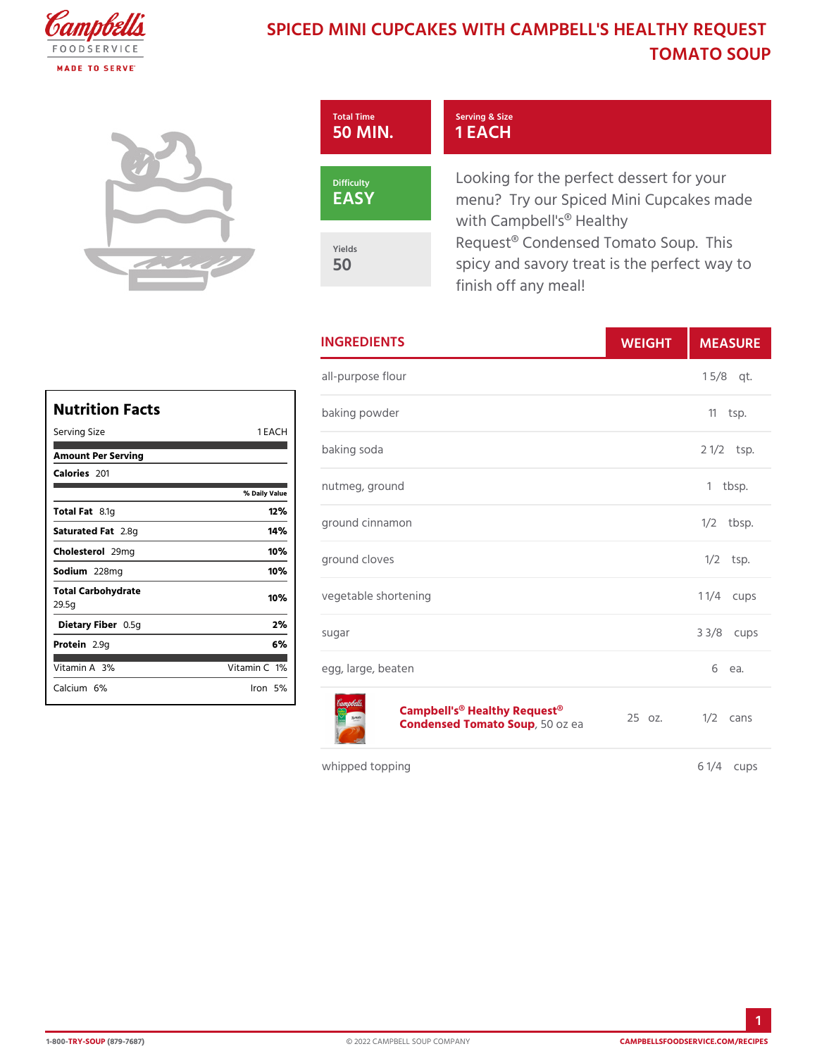## SPICED MINI CUPCAKES WITH CAMPBELL' TOMATO SOL

| Total Time         | Serving & Size<br>50 MIN. 1 EACH                                                                         |
|--------------------|----------------------------------------------------------------------------------------------------------|
| Difficulty<br>EASY | Looking for the perfect dessert<br>menu? Try our Spiced Mini Cup<br>with Campbell's <sup>®</sup> Healthy |
| Yields<br>50       | Request® Condensed Tomato So<br>spicy and savory treat is the pe<br>finish off any meal!                 |

|              | <b>INGREDIENTS</b>                                                                   | WEIGH | MEASU                |
|--------------|--------------------------------------------------------------------------------------|-------|----------------------|
| E A C H      | all-purpose flour                                                                    |       | $1 \t5/8qt.$         |
|              | baking powder                                                                        |       | $11$ tsp.            |
|              | baking soda                                                                          |       | 2 1/2tsp.            |
| ily Value    | nutmeg, ground                                                                       |       | 1 tbsp.              |
| 12%<br>14%   | ground cinnamon                                                                      |       | $1/2$ tbsp.          |
| 10%<br>10%   | ground cloves                                                                        |       | $1/2$ tsp.           |
| 10%          | vegetable shortening                                                                 |       | 1 $1/4$ cups         |
| 2%<br>6 %    | sugar                                                                                |       | $3 \frac{3}{8}$ cups |
| in1C%<br>n5% | egg, large, beaten                                                                   |       | 6<br>ea.             |
|              | Campbell's <sup>®</sup> Healthy Request <sup>®</sup> z.<br>Condensed Tomat 50Sozupea |       | $1/2$ cans           |

whipped topping

6 1/4 cups

| Nutrition Facts             |                |
|-----------------------------|----------------|
| Serving Size                | 1 EAC<br>н     |
| Amount Per Serving          |                |
| Calorie2s01                 |                |
|                             | % Daily Vallue |
| Total F&t1g                 | 12%            |
| Saturated 2F.&tg            | 14%            |
| Choleste 209 lm g           | 10%            |
| Sodium228mg                 | 10%            |
| Total Carbohydrate<br>29.5g | 10%            |
| Dietary F0ib5egn            | 2%             |
| Protei <sub>a.9g</sub>      | 6%             |
| Vitamin3A%                  | Vitamin1O%     |
| Calcium <sup>e</sup> %      | lron 5%l       |